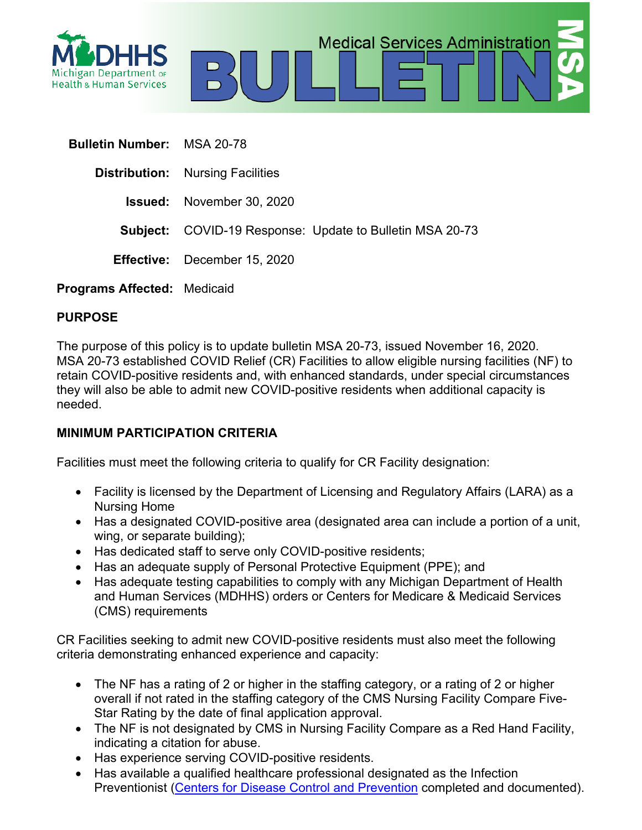

| <b>Bulletin Number: MSA 20-78</b>  |                                                                 |
|------------------------------------|-----------------------------------------------------------------|
|                                    | <b>Distribution:</b> Nursing Facilities                         |
|                                    | <b>Issued:</b> November 30, 2020                                |
|                                    | <b>Subject:</b> COVID-19 Response: Update to Bulletin MSA 20-73 |
|                                    | <b>Effective:</b> December 15, 2020                             |
| <b>Programs Affected: Medicaid</b> |                                                                 |

**PURPOSE**

The purpose of this policy is to update bulletin MSA 20-73, issued November 16, 2020. MSA 20-73 established COVID Relief (CR) Facilities to allow eligible nursing facilities (NF) to retain COVID-positive residents and, with enhanced standards, under special circumstances they will also be able to admit new COVID-positive residents when additional capacity is needed.

**Medical Services Administration** 

# **MINIMUM PARTICIPATION CRITERIA**

Facilities must meet the following criteria to qualify for CR Facility designation:

- Facility is licensed by the Department of Licensing and Regulatory Affairs (LARA) as a Nursing Home
- Has a designated COVID-positive area (designated area can include a portion of a unit, wing, or separate building);
- Has dedicated staff to serve only COVID-positive residents;
- Has an adequate supply of Personal Protective Equipment (PPE); and
- Has adequate testing capabilities to comply with any Michigan Department of Health and Human Services (MDHHS) orders or Centers for Medicare & Medicaid Services (CMS) requirements

CR Facilities seeking to admit new COVID-positive residents must also meet the following criteria demonstrating enhanced experience and capacity:

- The NF has a rating of 2 or higher in the staffing category, or a rating of 2 or higher overall if not rated in the staffing category of the CMS Nursing Facility Compare Five-Star Rating by the date of final application approval.
- The NF is not designated by CMS in Nursing Facility Compare as a Red Hand Facility, indicating a citation for abuse.
- Has experience serving COVID-positive residents.
- Has available a qualified healthcare professional designated as the Infection Preventionist [\(Centers for Disease Control and Prevention](https://www.train.org/cdctrain/training_plan/3814) completed and documented).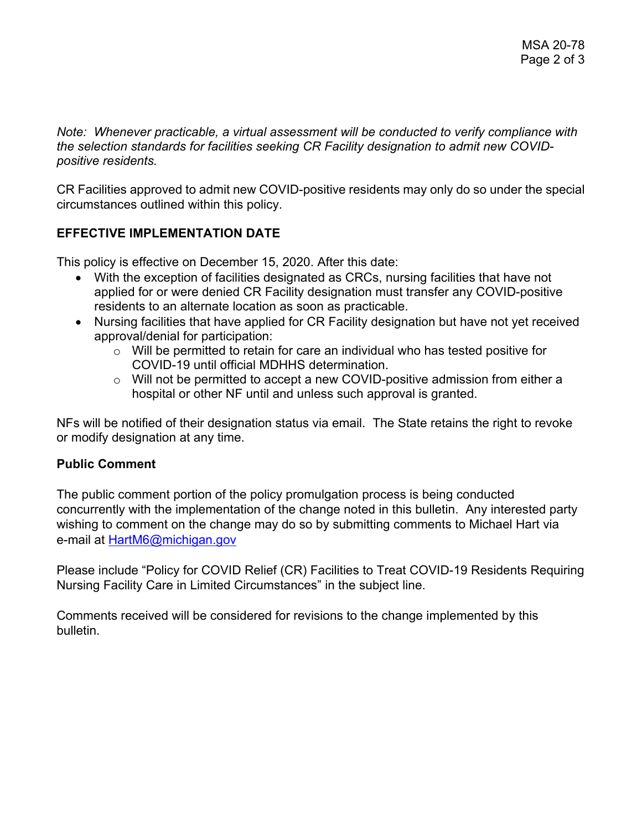*Note: Whenever practicable, a virtual assessment will be conducted to verify compliance with the selection standards for facilities seeking CR Facility designation to admit new COVIDpositive residents.*

CR Facilities approved to admit new COVID-positive residents may only do so under the special circumstances outlined within this policy.

# **EFFECTIVE IMPLEMENTATION DATE**

This policy is effective on December 15, 2020. After this date:

- With the exception of facilities designated as CRCs, nursing facilities that have not applied for or were denied CR Facility designation must transfer any COVID-positive residents to an alternate location as soon as practicable.
- Nursing facilities that have applied for CR Facility designation but have not yet received approval/denial for participation:
	- $\circ$  Will be permitted to retain for care an individual who has tested positive for COVID-19 until official MDHHS determination.
	- o Will not be permitted to accept a new COVID-positive admission from either a hospital or other NF until and unless such approval is granted.

NFs will be notified of their designation status via email. The State retains the right to revoke or modify designation at any time.

### **Public Comment**

The public comment portion of the policy promulgation process is being conducted concurrently with the implementation of the change noted in this bulletin. Any interested party wishing to comment on the change may do so by submitting comments to Michael Hart via e-mail at [HartM6@michigan.gov](mailto:HartM6@michigan.gov)

Please include "Policy for COVID Relief (CR) Facilities to Treat COVID-19 Residents Requiring Nursing Facility Care in Limited Circumstances" in the subject line.

Comments received will be considered for revisions to the change implemented by this bulletin.